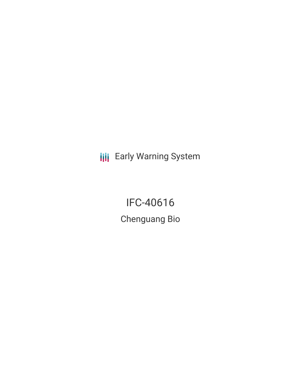**III** Early Warning System

IFC-40616 Chenguang Bio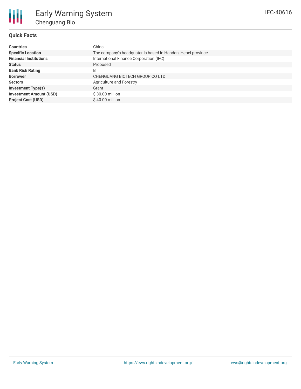## **Quick Facts**

₩

| <b>Countries</b>               | China                                                       |
|--------------------------------|-------------------------------------------------------------|
| <b>Specific Location</b>       | The company's headquater is based in Handan, Hebei province |
| <b>Financial Institutions</b>  | International Finance Corporation (IFC)                     |
| <b>Status</b>                  | Proposed                                                    |
| <b>Bank Risk Rating</b>        | B                                                           |
| <b>Borrower</b>                | CHENGUANG BIOTECH GROUP CO LTD                              |
| <b>Sectors</b>                 | Agriculture and Forestry                                    |
| <b>Investment Type(s)</b>      | Grant                                                       |
| <b>Investment Amount (USD)</b> | \$30.00 million                                             |
| <b>Project Cost (USD)</b>      | $$40.00$ million                                            |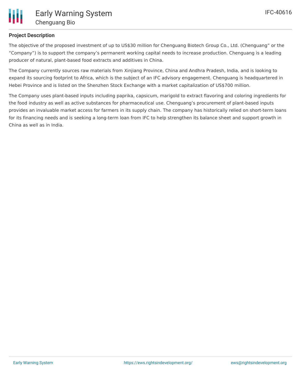

## **Project Description**

The objective of the proposed investment of up to US\$30 million for Chenguang Biotech Group Co., Ltd. (Chenguang" or the "Company") is to support the company's permanent working capital needs to increase production. Chenguang is a leading producer of natural, plant-based food extracts and additives in China.

The Company currently sources raw materials from Xinjiang Province, China and Andhra Pradesh, India, and is looking to expand its sourcing footprint to Africa, which is the subject of an IFC advisory engagement. Chenguang is headquartered in Hebei Province and is listed on the Shenzhen Stock Exchange with a market capitalization of US\$700 million.

The Company uses plant-based inputs including paprika, capsicum, marigold to extract flavoring and coloring ingredients for the food industry as well as active substances for pharmaceutical use. Chenguang's procurement of plant-based inputs provides an invaluable market access for farmers in its supply chain. The company has historically relied on short-term loans for its financing needs and is seeking a long-term loan from IFC to help strengthen its balance sheet and support growth in China as well as in India.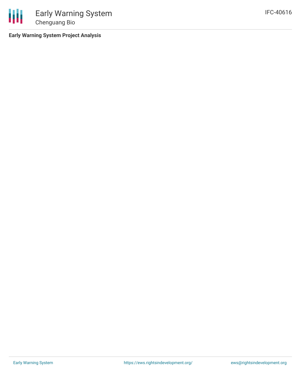

**Early Warning System Project Analysis**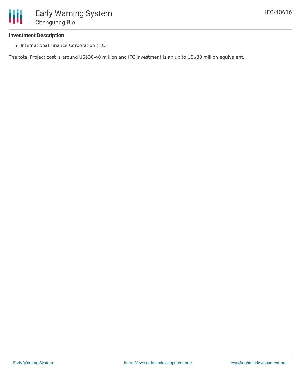

#### **Investment Description**

• International Finance Corporation (IFC)

The total Project cost is around US\$30-40 million and IFC investment is an up to US\$30 million equivalent.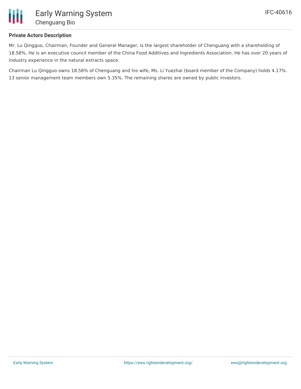

## **Private Actors Description**

Mr. Lu Qingguo, Chairman, Founder and General Manager, is the largest shareholder of Chenguang with a shareholding of 18.58%. He is an executive council member of the China Food Additives and Ingredients Association. He has over 20 years of industry experience in the natural extracts space.

Chairman Lu Qingguo owns 18.58% of Chenguang and his wife, Ms. Li Yuezhai (board member of the Company) holds 4.17%. 13 senior management team members own 5.35%. The remaining shares are owned by public investors.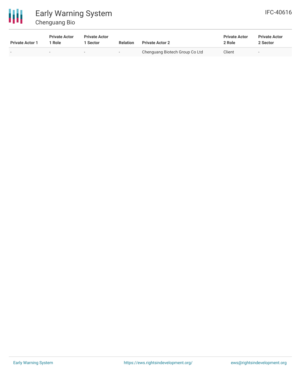

# Early Warning System Chenguang Bio

| IFC-40616 |
|-----------|
|-----------|

| <b>Private Actor 1</b> | <b>Private Actor</b><br>Role | <b>Private Actor</b><br>Sector | <b>Relation</b> | <b>Private Actor 2</b>         | <b>Private Actor</b><br>2 Role | <b>Private Actor</b><br>2 Sector |  |
|------------------------|------------------------------|--------------------------------|-----------------|--------------------------------|--------------------------------|----------------------------------|--|
|                        |                              |                                | $\sim$          | Chenguang Biotech Group Co Ltd | Client                         |                                  |  |